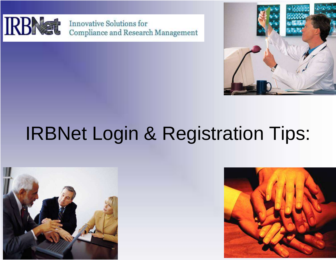



# IRBNet Login & Registration Tips:



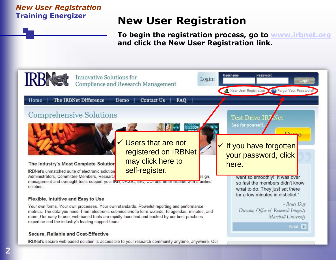### **New User Registration**

**To begin the registration process, go to [www.irbnet.org](http://www.irbnet.org/) and click the New User Registration link.**

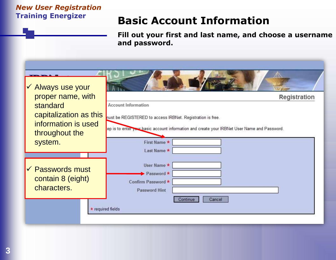### **Basic Account Information**

**Fill out your first and last name, and choose a username and password.**

| ✔ Always use your                                               |                                                                                                                           |
|-----------------------------------------------------------------|---------------------------------------------------------------------------------------------------------------------------|
| proper name, with                                               | Registration                                                                                                              |
| standard                                                        | <b>Account Information</b>                                                                                                |
| capitalization as this                                          | nust be REGISTERED to access IRBNet. Registration is free.                                                                |
| information is used<br>throughout the                           | tep is to enter your basic account information and create your IRBNet User Name and Password.                             |
| system.                                                         | First Name *                                                                                                              |
|                                                                 | Last Name *                                                                                                               |
| $\checkmark$ Passwords must<br>contain 8 (eight)<br>characters. | User Name *<br>$\blacktriangleright$ Password $\star$<br>Confirm Password *<br><b>Password Hint</b><br>Cancel<br>Continue |
| * required fields                                               |                                                                                                                           |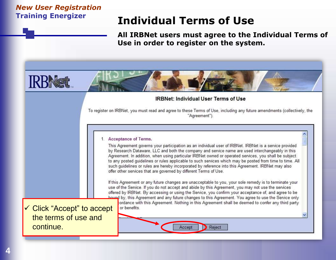### **Individual Terms of Use**

**All IRBNet users must agree to the Individual Terms of Use in order to register on the system.**

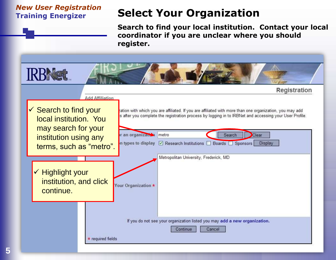## **Select Your Organization**

**Search to find your local institution. Contact your local coordinator if you are unclear where you should register.**

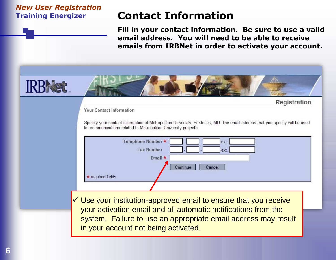### **Contact Information**

**Fill in your contact information. Be sure to use a valid email address. You will need to be able to receive emails from IRBNet in order to activate your account.**



 $\checkmark$  Use your institution-approved email to ensure that you receive your activation email and all automatic notifications from the system. Failure to use an appropriate email address may result in your account not being activated.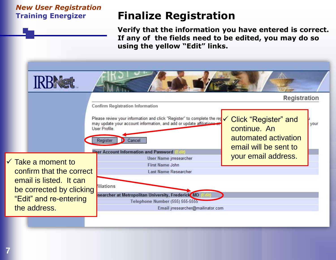# **Finalize Registration**

**Verify that the information you have entered is correct. If any of the fields need to be edited, you may do so using the yellow "Edit" links.**

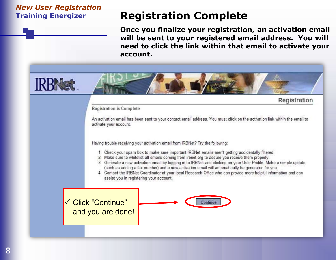## **Registration Complete**

**Once you finalize your registration, an activation email will be sent to your registered email address. You will need to click the link within that email to activate your account.**

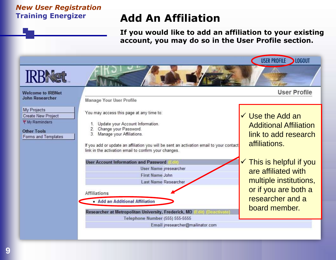# **Add An Affiliation**

**If you would like to add an affiliation to your existing account, you may do so in the User Profile section.**